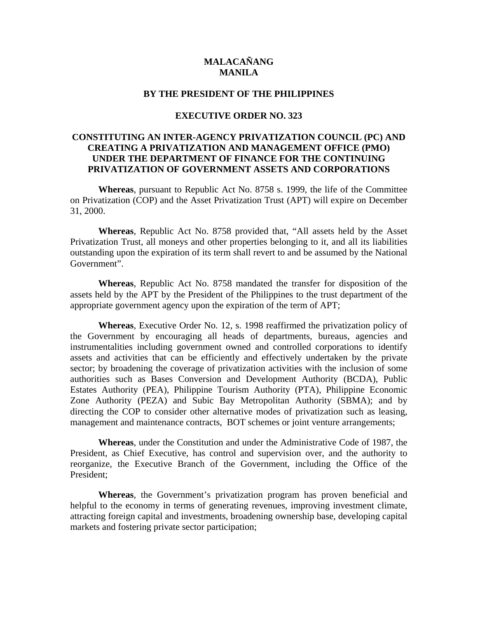# **MALACAÑANG MANILA**

### **BY THE PRESIDENT OF THE PHILIPPINES**

#### **EXECUTIVE ORDER NO. 323**

# **CONSTITUTING AN INTER-AGENCY PRIVATIZATION COUNCIL (PC) AND CREATING A PRIVATIZATION AND MANAGEMENT OFFICE (PMO) UNDER THE DEPARTMENT OF FINANCE FOR THE CONTINUING PRIVATIZATION OF GOVERNMENT ASSETS AND CORPORATIONS**

**Whereas**, pursuant to Republic Act No. 8758 s. 1999, the life of the Committee on Privatization (COP) and the Asset Privatization Trust (APT) will expire on December 31, 2000.

**Whereas**, Republic Act No. 8758 provided that, "All assets held by the Asset Privatization Trust, all moneys and other properties belonging to it, and all its liabilities outstanding upon the expiration of its term shall revert to and be assumed by the National Government".

**Whereas**, Republic Act No. 8758 mandated the transfer for disposition of the assets held by the APT by the President of the Philippines to the trust department of the appropriate government agency upon the expiration of the term of APT;

**Whereas**, Executive Order No. 12, s. 1998 reaffirmed the privatization policy of the Government by encouraging all heads of departments, bureaus, agencies and instrumentalities including government owned and controlled corporations to identify assets and activities that can be efficiently and effectively undertaken by the private sector; by broadening the coverage of privatization activities with the inclusion of some authorities such as Bases Conversion and Development Authority (BCDA), Public Estates Authority (PEA), Philippine Tourism Authority (PTA), Philippine Economic Zone Authority (PEZA) and Subic Bay Metropolitan Authority (SBMA); and by directing the COP to consider other alternative modes of privatization such as leasing, management and maintenance contracts, BOT schemes or joint venture arrangements;

**Whereas**, under the Constitution and under the Administrative Code of 1987, the President, as Chief Executive, has control and supervision over, and the authority to reorganize, the Executive Branch of the Government, including the Office of the President;

**Whereas**, the Government's privatization program has proven beneficial and helpful to the economy in terms of generating revenues, improving investment climate, attracting foreign capital and investments, broadening ownership base, developing capital markets and fostering private sector participation;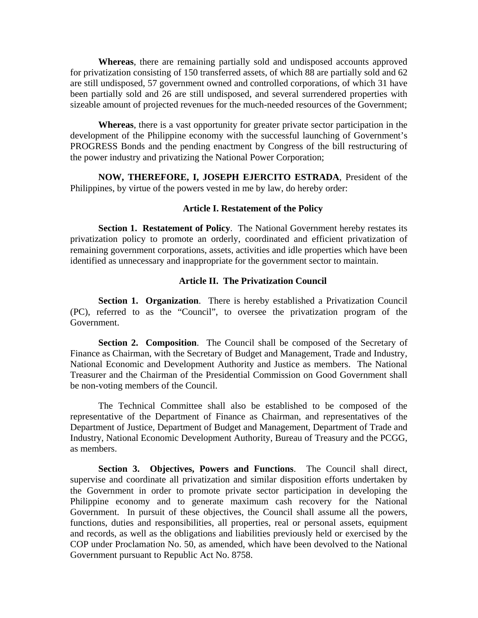**Whereas**, there are remaining partially sold and undisposed accounts approved for privatization consisting of 150 transferred assets, of which 88 are partially sold and 62 are still undisposed, 57 government owned and controlled corporations, of which 31 have been partially sold and 26 are still undisposed, and several surrendered properties with sizeable amount of projected revenues for the much-needed resources of the Government;

**Whereas**, there is a vast opportunity for greater private sector participation in the development of the Philippine economy with the successful launching of Government's PROGRESS Bonds and the pending enactment by Congress of the bill restructuring of the power industry and privatizing the National Power Corporation;

**NOW, THEREFORE, I, JOSEPH EJERCITO ESTRADA**, President of the Philippines, by virtue of the powers vested in me by law, do hereby order:

#### **Article I. Restatement of the Policy**

**Section 1. Restatement of Policy.** The National Government hereby restates its privatization policy to promote an orderly, coordinated and efficient privatization of remaining government corporations, assets, activities and idle properties which have been identified as unnecessary and inappropriate for the government sector to maintain.

### **Article II. The Privatization Council**

**Section 1. Organization**. There is hereby established a Privatization Council (PC), referred to as the "Council", to oversee the privatization program of the Government.

**Section 2. Composition**. The Council shall be composed of the Secretary of Finance as Chairman, with the Secretary of Budget and Management, Trade and Industry, National Economic and Development Authority and Justice as members. The National Treasurer and the Chairman of the Presidential Commission on Good Government shall be non-voting members of the Council.

The Technical Committee shall also be established to be composed of the representative of the Department of Finance as Chairman, and representatives of the Department of Justice, Department of Budget and Management, Department of Trade and Industry, National Economic Development Authority, Bureau of Treasury and the PCGG, as members.

**Section 3. Objectives, Powers and Functions**. The Council shall direct, supervise and coordinate all privatization and similar disposition efforts undertaken by the Government in order to promote private sector participation in developing the Philippine economy and to generate maximum cash recovery for the National Government. In pursuit of these objectives, the Council shall assume all the powers, functions, duties and responsibilities, all properties, real or personal assets, equipment and records, as well as the obligations and liabilities previously held or exercised by the COP under Proclamation No. 50, as amended, which have been devolved to the National Government pursuant to Republic Act No. 8758.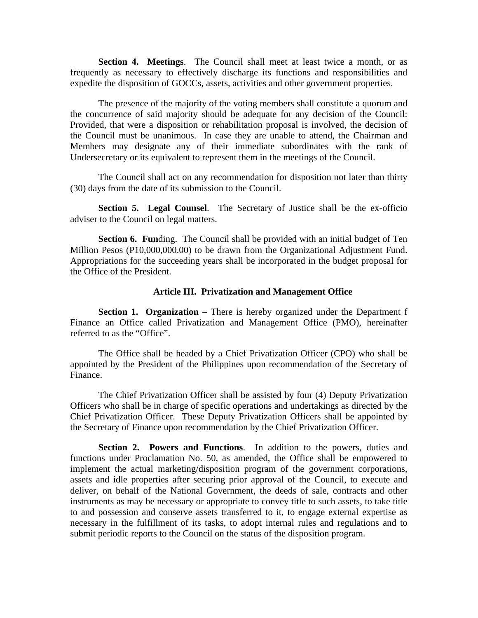**Section 4. Meetings**. The Council shall meet at least twice a month, or as frequently as necessary to effectively discharge its functions and responsibilities and expedite the disposition of GOCCs, assets, activities and other government properties.

The presence of the majority of the voting members shall constitute a quorum and the concurrence of said majority should be adequate for any decision of the Council: Provided, that were a disposition or rehabilitation proposal is involved, the decision of the Council must be unanimous. In case they are unable to attend, the Chairman and Members may designate any of their immediate subordinates with the rank of Undersecretary or its equivalent to represent them in the meetings of the Council.

The Council shall act on any recommendation for disposition not later than thirty (30) days from the date of its submission to the Council.

**Section 5. Legal Counsel**. The Secretary of Justice shall be the ex-officio adviser to the Council on legal matters.

**Section 6. Funding.** The Council shall be provided with an initial budget of Ten Million Pesos (P10,000,000.00) to be drawn from the Organizational Adjustment Fund. Appropriations for the succeeding years shall be incorporated in the budget proposal for the Office of the President.

#### **Article III. Privatization and Management Office**

**Section 1. Organization** – There is hereby organized under the Department f Finance an Office called Privatization and Management Office (PMO), hereinafter referred to as the "Office".

The Office shall be headed by a Chief Privatization Officer (CPO) who shall be appointed by the President of the Philippines upon recommendation of the Secretary of Finance.

The Chief Privatization Officer shall be assisted by four (4) Deputy Privatization Officers who shall be in charge of specific operations and undertakings as directed by the Chief Privatization Officer. These Deputy Privatization Officers shall be appointed by the Secretary of Finance upon recommendation by the Chief Privatization Officer.

**Section 2. Powers and Functions**. In addition to the powers, duties and functions under Proclamation No. 50, as amended, the Office shall be empowered to implement the actual marketing/disposition program of the government corporations, assets and idle properties after securing prior approval of the Council, to execute and deliver, on behalf of the National Government, the deeds of sale, contracts and other instruments as may be necessary or appropriate to convey title to such assets, to take title to and possession and conserve assets transferred to it, to engage external expertise as necessary in the fulfillment of its tasks, to adopt internal rules and regulations and to submit periodic reports to the Council on the status of the disposition program.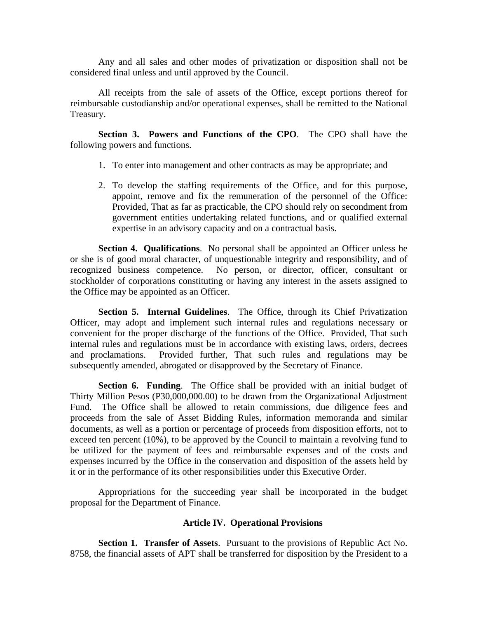Any and all sales and other modes of privatization or disposition shall not be considered final unless and until approved by the Council.

All receipts from the sale of assets of the Office, except portions thereof for reimbursable custodianship and/or operational expenses, shall be remitted to the National Treasury.

**Section 3. Powers and Functions of the CPO**. The CPO shall have the following powers and functions.

- 1. To enter into management and other contracts as may be appropriate; and
- 2. To develop the staffing requirements of the Office, and for this purpose, appoint, remove and fix the remuneration of the personnel of the Office: Provided, That as far as practicable, the CPO should rely on secondment from government entities undertaking related functions, and or qualified external expertise in an advisory capacity and on a contractual basis.

**Section 4. Qualifications**. No personal shall be appointed an Officer unless he or she is of good moral character, of unquestionable integrity and responsibility, and of recognized business competence. No person, or director, officer, consultant or stockholder of corporations constituting or having any interest in the assets assigned to the Office may be appointed as an Officer.

**Section 5. Internal Guidelines**. The Office, through its Chief Privatization Officer, may adopt and implement such internal rules and regulations necessary or convenient for the proper discharge of the functions of the Office. Provided, That such internal rules and regulations must be in accordance with existing laws, orders, decrees and proclamations. Provided further, That such rules and regulations may be subsequently amended, abrogated or disapproved by the Secretary of Finance.

**Section 6. Funding**. The Office shall be provided with an initial budget of Thirty Million Pesos (P30,000,000.00) to be drawn from the Organizational Adjustment Fund. The Office shall be allowed to retain commissions, due diligence fees and proceeds from the sale of Asset Bidding Rules, information memoranda and similar documents, as well as a portion or percentage of proceeds from disposition efforts, not to exceed ten percent (10%), to be approved by the Council to maintain a revolving fund to be utilized for the payment of fees and reimbursable expenses and of the costs and expenses incurred by the Office in the conservation and disposition of the assets held by it or in the performance of its other responsibilities under this Executive Order.

Appropriations for the succeeding year shall be incorporated in the budget proposal for the Department of Finance.

## **Article IV. Operational Provisions**

**Section 1. Transfer of Assets**. Pursuant to the provisions of Republic Act No. 8758, the financial assets of APT shall be transferred for disposition by the President to a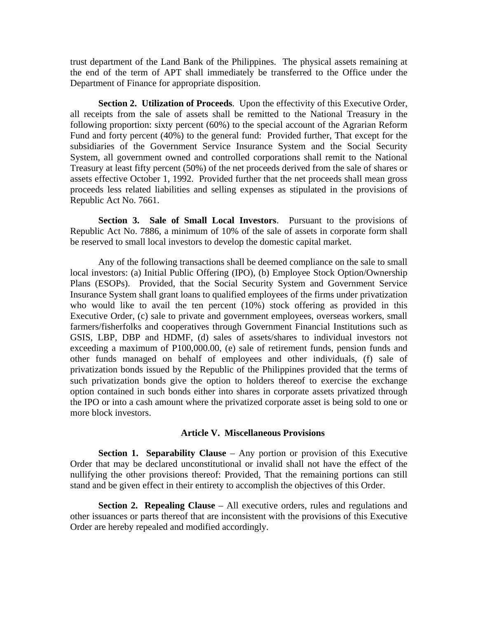trust department of the Land Bank of the Philippines. The physical assets remaining at the end of the term of APT shall immediately be transferred to the Office under the Department of Finance for appropriate disposition.

**Section 2. Utilization of Proceeds**. Upon the effectivity of this Executive Order, all receipts from the sale of assets shall be remitted to the National Treasury in the following proportion: sixty percent (60%) to the special account of the Agrarian Reform Fund and forty percent (40%) to the general fund: Provided further, That except for the subsidiaries of the Government Service Insurance System and the Social Security System, all government owned and controlled corporations shall remit to the National Treasury at least fifty percent (50%) of the net proceeds derived from the sale of shares or assets effective October 1, 1992. Provided further that the net proceeds shall mean gross proceeds less related liabilities and selling expenses as stipulated in the provisions of Republic Act No. 7661.

**Section 3. Sale of Small Local Investors**. Pursuant to the provisions of Republic Act No. 7886, a minimum of 10% of the sale of assets in corporate form shall be reserved to small local investors to develop the domestic capital market.

Any of the following transactions shall be deemed compliance on the sale to small local investors: (a) Initial Public Offering (IPO), (b) Employee Stock Option/Ownership Plans (ESOPs). Provided, that the Social Security System and Government Service Insurance System shall grant loans to qualified employees of the firms under privatization who would like to avail the ten percent (10%) stock offering as provided in this Executive Order, (c) sale to private and government employees, overseas workers, small farmers/fisherfolks and cooperatives through Government Financial Institutions such as GSIS, LBP, DBP and HDMF, (d) sales of assets/shares to individual investors not exceeding a maximum of P100,000.00, (e) sale of retirement funds, pension funds and other funds managed on behalf of employees and other individuals, (f) sale of privatization bonds issued by the Republic of the Philippines provided that the terms of such privatization bonds give the option to holders thereof to exercise the exchange option contained in such bonds either into shares in corporate assets privatized through the IPO or into a cash amount where the privatized corporate asset is being sold to one or more block investors.

#### **Article V. Miscellaneous Provisions**

**Section 1. Separability Clause** – Any portion or provision of this Executive Order that may be declared unconstitutional or invalid shall not have the effect of the nullifying the other provisions thereof: Provided, That the remaining portions can still stand and be given effect in their entirety to accomplish the objectives of this Order.

**Section 2. Repealing Clause** – All executive orders, rules and regulations and other issuances or parts thereof that are inconsistent with the provisions of this Executive Order are hereby repealed and modified accordingly.